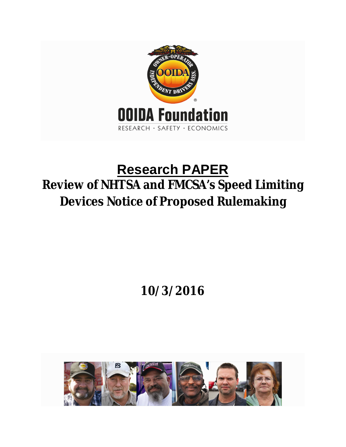

# **Research PAPER Review of NHTSA and FMCSA's Speed Limiting Devices Notice of Proposed Rulemaking**

# **10/3/2016**

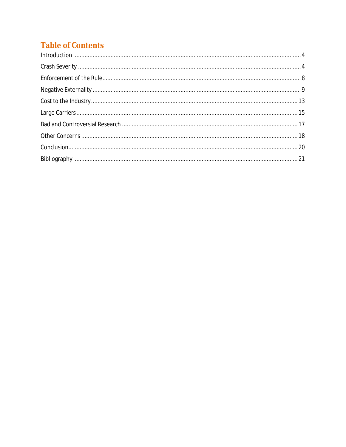# **Table of Contents**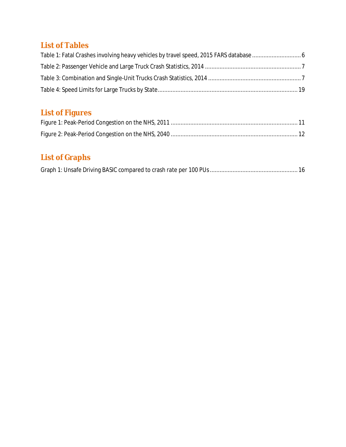# **List of Tables**

# **List of Figures**

# **List of Graphs**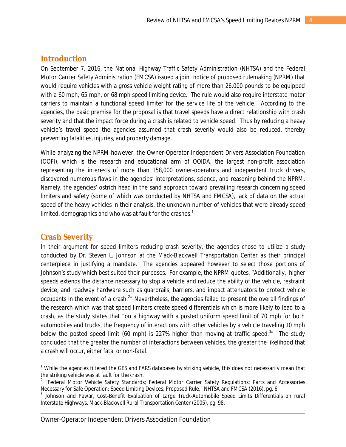## **Introduction**

On September 7, 2016, the National Highway Traffic Safety Administration (NHTSA) and the Federal Motor Carrier Safety Administration (FMCSA) issued a joint notice of proposed rulemaking (NPRM) that would require vehicles with a gross vehicle weight rating of more than 26,000 pounds to be equipped with a 60 mph, 65 mph, or 68 mph speed limiting device. The rule would also require interstate motor carriers to maintain a functional speed limiter for the service life of the vehicle. According to the agencies, the basic premise for the proposal is that travel speeds have a direct relationship with crash severity and that the impact force during a crash is related to vehicle speed. Thus by reducing a heavy vehicle's travel speed the agencies assumed that crash severity would also be reduced, thereby preventing fatalities, injuries, and property damage.

While analyzing the NPRM however, the Owner-Operator Independent Drivers Association Foundation (OOFI), which is the research and educational arm of OOIDA, the largest non-profit association representing the interests of more than 158,000 owner-operators and independent truck drivers, discovered numerous flaws in the agencies' interpretations, science, and reasoning behind the NPRM. Namely, the agencies' ostrich head in the sand approach toward prevailing research concerning speed limiters and safety (some of which was conducted by NHTSA and FMCSA), lack of data on the actual speed of the heavy vehicles in their analysis, the unknown number of vehicles that were already speed limited, demographics and who was at fault for the crashes.<sup>1</sup>

# **Crash Severity**

 $\overline{\phantom{a}}$ 

In their argument for speed limiters reducing crash severity, the agencies chose to utilize a study conducted by Dr. Steven L. Johnson at the Mack-Blackwell Transportation Center as their principal centerpiece in justifying a mandate. The agencies appeared however to select those portions of Johnson's study which best suited their purposes. For example, the NPRM quotes, "Additionally, higher speeds extends the distance necessary to stop a vehicle and reduce the ability of the vehicle, restraint device, and roadway hardware such as guardrails, barriers, and impact attenuators to protect vehicle occupants in the event of a crash.<sup>2</sup>" Nevertheless, the agencies failed to present the overall findings of the research which was that speed limiters create speed differentials which is more likely to lead to a crash, as the study states that "on a highway with a posted uniform speed limit of 70 mph for both automobiles and trucks, the frequency of interactions with other vehicles by a vehicle traveling 10 mph below the posted speed limit (60 mph) is 227% higher than moving at traffic speed.<sup>3</sup><sup>n</sup> The study concluded that the greater the number of interactions between vehicles, the greater the likelihood that a crash will occur, either fatal or non-fatal.

 $1$  While the agencies filtered the GES and FARS databases by striking vehicle, this does not necessarily mean that the striking vehicle was at fault for the crash.

<sup>&</sup>lt;sup>2</sup> "Federal Motor Vehicle Safety Standards; Federal Motor Carrier Safety Regulations; Parts and Accessories Necessary for Safe Operation; Speed Limiting Devices; Proposed Rule," NHTSA and FMCSA (2016), pg. 6.

<sup>&</sup>lt;sup>3</sup> Johnson and Pawar, Cost-Benefit Evaluation of Large Truck-Automobile Speed Limits Differentials on rural *Interstate Highways*, Mack-Blackwell Rural Transportation Center (2005), pg. 98.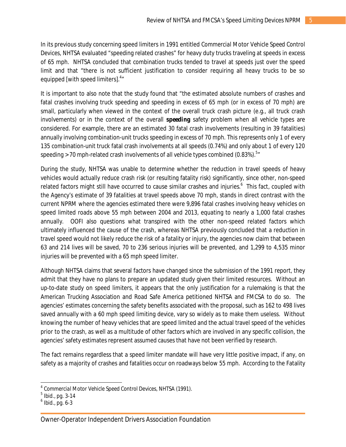In its previous study concerning speed limiters in 1991 entitled *Commercial Motor Vehicle Speed Control Devices*, NHTSA evaluated "speeding related crashes" for heavy duty trucks traveling at speeds in excess of 65 mph. NHTSA concluded that combination trucks tended to travel at speeds just over the speed limit and that "there is not sufficient justification to consider requiring all heavy trucks to be so equipped [with speed limiters].<sup>4</sup>"

It is important to also note that the study found that "the estimated absolute numbers of crashes and fatal crashes involving truck speeding and speeding in excess of 65 mph (or in excess of 70 mph) are small, particularly when viewed in the context of the overall truck crash picture (e.g., all truck crash involvements) or in the context of the overall *speeding* safety problem when all vehicle types are considered. For example, there are an estimated 30 fatal crash involvements (resulting in 39 fatalities) annually involving combination-unit trucks speeding in excess of 70 mph. This represents only 1 of every 135 combination-unit truck fatal crash involvements at all speeds (0.74%) and only about 1 of every 120 speeding > 70 mph-related crash involvements of all vehicle types combined (0.83%). $^{\rm 5}$ "

During the study, NHTSA was unable to determine whether the reduction in travel speeds of heavy vehicles would actually reduce crash risk (or resulting fatality risk) significantly, since other, non-speed related factors might still have occurred to cause similar crashes and injuries.<sup>6</sup> This fact, coupled with the Agency's estimate of 39 fatalities at travel speeds above 70 mph, stands in direct contrast with the current NPRM where the agencies estimated there were 9,896 fatal crashes involving heavy vehicles on speed limited roads above 55 mph between 2004 and 2013, equating to nearly a 1,000 fatal crashes annually. OOFI also questions what transpired with the other non-speed related factors which ultimately influenced the cause of the crash, whereas NHTSA previously concluded that a reduction in travel speed would not likely reduce the risk of a fatality or injury, the agencies now claim that between 63 and 214 lives will be saved, 70 to 236 serious injuries will be prevented, and 1,299 to 4,535 minor injuries will be prevented with a 65 mph speed limiter.

Although NHTSA claims that several factors have changed since the submission of the 1991 report, they admit that they have no plans to prepare an updated study given their limited resources. Without an up-to-date study on speed limiters, it appears that the only justification for a rulemaking is that the American Trucking Association and Road Safe America petitioned NHTSA and FMCSA to do so. The agencies' estimates concerning the safety benefits associated with the proposal, such as 162 to 498 lives saved annually with a 60 mph speed limiting device, vary so widely as to make them useless. Without knowing the number of heavy vehicles that are speed limited and the actual travel speed of the vehicles prior to the crash, as well as a multitude of other factors which are involved in any specific collision, the agencies' safety estimates represent assumed causes that have not been verified by research.

The fact remains regardless that a speed limiter mandate will have very little positive impact, if any, on safety as a majority of crashes and fatalities occur on roadways below 55 mph. According to the Fatality

<sup>4</sup> *Commercial Motor Vehicle Speed Control Devices*, NHTSA (1991).

 $^5$  lbid., pg. 3-14

 $<sup>6</sup>$  Ibid., pg. 6-3</sup>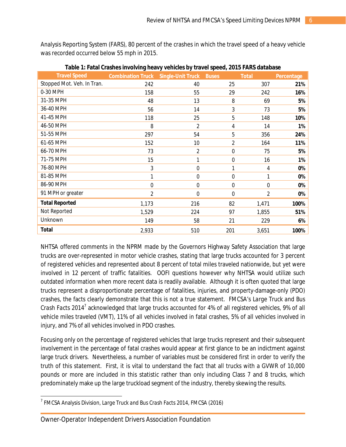Analysis Reporting System (FARS), 80 percent of the crashes in which the travel speed of a heavy vehicle was recorded occurred below 55 mph in 2015.

| <b>Travel Speed</b>        | <b>Combination Truck</b> | <b>Single-Unit Truck</b> | <b>Buses</b>   | <b>Total</b> | Percentage |
|----------------------------|--------------------------|--------------------------|----------------|--------------|------------|
| Stopped Mot. Veh. In Tran. | 242                      | 40                       | 25             | 307          | 21%        |
| 0-30 MPH                   | 158                      | 55                       | 29             | 242          | 16%        |
| 31-35 MPH                  | 48                       | 13                       | 8              | 69           | 5%         |
| 36-40 MPH                  | 56                       | 14                       | 3              | 73           | 5%         |
| 41-45 MPH                  | 118                      | 25                       | 5              | 148          | 10%        |
| 46-50 MPH                  | 8                        | $\overline{2}$           | 4              | 14           | 1%         |
| 51-55 MPH                  | 297                      | 54                       | 5              | 356          | 24%        |
| 61-65 MPH                  | 152                      | 10                       | $\overline{2}$ | 164          | 11%        |
| 66-70 MPH                  | 73                       | $\overline{2}$           | 0              | 75           | 5%         |
| 71-75 MPH                  | 15                       | 1                        | 0              | 16           | 1%         |
| 76-80 MPH                  | 3                        | $\mathbf 0$              | 1              | 4            | 0%         |
| 81-85 MPH                  | 1                        | $\mathbf 0$              | 0              | 1            | 0%         |
| 86-90 MPH                  | $\mathbf 0$              | $\mathbf 0$              | 0              | $\mathbf 0$  | 0%         |
| 91 MPH or greater          | $\overline{2}$           | $\mathbf 0$              | 0              | 2            | 0%         |
| <b>Total Reported</b>      | 1,173                    | 216                      | 82             | 1,471        | 100%       |
| Not Reported               | 1,529                    | 224                      | 97             | 1,855        | 51%        |
| Unknown                    | 149                      | 58                       | 21             | 229          | 6%         |
| <b>Total</b>               | 2,933                    | 510                      | 201            | 3,651        | 100%       |

**Table 1: Fatal Crashes involving heavy vehicles by travel speed, 2015 FARS database**

NHTSA offered comments in the NPRM made by the Governors Highway Safety Association that large trucks are over-represented in motor vehicle crashes, stating that large trucks accounted for 3 percent of registered vehicles and represented about 8 percent of total miles traveled nationwide, but yet were involved in 12 percent of traffic fatalities. OOFI questions however why NHTSA would utilize such outdated information when more recent data is readily available. Although it is often quoted that large trucks represent a disproportionate percentage of fatalities, injuries, and property-damage-only (PDO) crashes, the facts clearly demonstrate that this is not a true statement. FMCSA's *Large Truck and Bus*  Crash Facts 2014<sup>7</sup> acknowledged that large trucks accounted for 4% of all registered vehicles, 9% of all vehicle miles traveled (VMT), 11% of all vehicles involved in fatal crashes, 5% of all vehicles involved in injury, and 7% of all vehicles involved in PDO crashes.

Focusing only on the percentage of registered vehicles that large trucks represent and their subsequent involvement in the percentage of fatal crashes would appear at first glance to be an indictment against large truck drivers. Nevertheless, a number of variables must be considered first in order to verify the truth of this statement. First, it is vital to understand the fact that all trucks with a GVWR of 10,000 pounds or more are included in this statistic rather than only including Class 7 and 8 trucks, which predominately make up the large truckload segment of the industry, thereby skewing the results.

 $\overline{a}$ 7 FMCSA Analysis Division, *Large Truck and Bus Crash Facts 2014*, FMCSA (2016)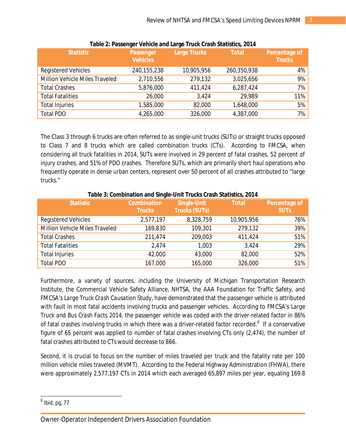| <b>Statistic</b>               | <b>Passenger</b><br><b>Vehicles</b> | <b>Large Trucks</b> | <b>Total</b> | <b>Percentage of</b><br><b>Trucks</b> |
|--------------------------------|-------------------------------------|---------------------|--------------|---------------------------------------|
| <b>Registered Vehicles</b>     | 240,155,238                         | 10,905,956          | 260,350,938  | $4\%$                                 |
| Million Vehicle Miles Traveled | 2,710,556                           | 279,132             | 3,025,656    | $9\%$                                 |
| <b>Total Crashes</b>           | 5,876,000                           | 411,424             | 6,287,424    | $7\%$                                 |
| <b>Total Fatalities</b>        | 26,000                              | 3,424               | 29,989       | 11%                                   |
| <b>Total Injuries</b>          | 1,585,000                           | 82,000              | 1,648,000    | $5\%$                                 |
| <b>Total PDO</b>               | 4,265,000                           | 326,000             | 4,387,000    | $7\%$                                 |

#### **Table 2: Passenger Vehicle and Large Truck Crash Statistics, 2014**

The Class 3 through 6 trucks are often referred to as single-unit trucks (SUTs) or straight trucks opposed to Class 7 and 8 trucks which are called combination trucks (CTs). According to FMCSA, when considering all truck fatalities in 2014, SUTs were involved in 29 percent of fatal crashes, 52 percent of injury crashes, and 51% of PDO crashes. Therefore SUTs, which are primarily short haul operations who frequently operate in dense urban centers, represent over 50 percent of all crashes attributed to "large trucks."

|                                | rapic J. Compilation and Jingic-Onit Trucks Grash Statistics, ZOT+ |                                            |              |                                     |  |  |
|--------------------------------|--------------------------------------------------------------------|--------------------------------------------|--------------|-------------------------------------|--|--|
| <b>Statistic</b>               | <b>Combination</b><br><b>Trucks</b>                                | <b>Single-Unit</b><br><b>Trucks (SUTs)</b> | <b>Total</b> | <b>Percentage of</b><br><b>SUTs</b> |  |  |
| <b>Registered Vehicles</b>     | 2,577,197                                                          | 8,328,759                                  | 10,905,956   | 76%                                 |  |  |
| Million Vehicle Miles Traveled | 169,830                                                            | 109,301                                    | 279,132      | 39%                                 |  |  |
| <b>Total Crashes</b>           | 211,474                                                            | 209,003                                    | 411,424      | 51%                                 |  |  |
| <b>Total Fatalities</b>        | 2,474                                                              | 1,003                                      | 3,424        | 29%                                 |  |  |
| <b>Total Injuries</b>          | 42,000                                                             | 43,000                                     | 82,000       | 52%                                 |  |  |
| <b>Total PDO</b>               | 167,000                                                            | 165,000                                    | 326,000      | 51%                                 |  |  |

#### **Table 3: Combination and Single-Unit Trucks Crash Statistics, 2014**

Furthermore, a variety of sources, including the University of Michigan Transportation Research Institute, the Commercial Vehicle Safety Alliance, NHTSA, the AAA Foundation for Traffic Safety, and FMCSA's *Large Truck Crash Causation Study*, have demonstrated that the passenger vehicle is attributed with fault in most fatal accidents involving trucks and passenger vehicles. According to FMCSA's *Large Truck and Bus Crash Facts 2014*, the passenger vehicle was coded with the driver-related factor in 86% of fatal crashes involving trucks in which there was a driver-related factor recorded.<sup>8</sup> If a conservative figure of 65 percent was applied to number of fatal crashes involving CTs only (2,474), the number of fatal crashes attributed to CTs would decrease to 866.

Second, it is crucial to focus on the number of miles traveled per truck and the fatality rate per 100 million vehicle miles traveled (MVMT). According to the Federal Highway Administration (FHWA), there were approximately 2,577,197 CTs in 2014 which each averaged 65,897 miles per year, equaling 169.8

 $\overline{a}$  $<sup>8</sup>$  Ibid, pg. 77</sup>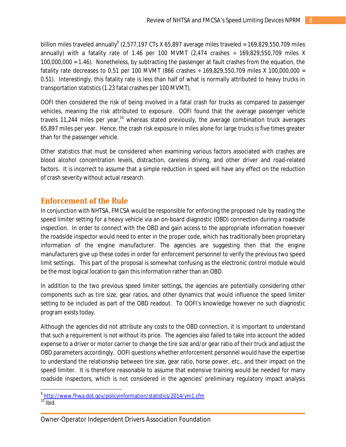billion miles traveled annually $^9$  (2,577,197 CTs X 65,897 average miles traveled = 169,829,550,709 miles annually) with a fatality rate of 1.46 per 100 MVMT (2,474 crashes  $\div$  169,829,550,709 miles X 100,000,000 = 1.46). Nonetheless, by subtracting the passenger at fault crashes from the equation, the fatality rate decreases to 0.51 per 100 MVMT (866 crashes  $\div$  169,829,550,709 miles X 100,000,000 = 0.51). Interestingly, this fatality rate is less than half of what is normally attributed to heavy trucks in transportation statistics (1.23 fatal crashes per 100 MVMT).

OOFI then considered the risk of being involved in a fatal crash for trucks as compared to passenger vehicles, meaning the risk attributed to exposure. OOFI found that the average passenger vehicle travels 11,244 miles per year,<sup>10</sup> whereas stated previously, the average combination truck averages 65,897 miles per year. Hence, the crash risk exposure in miles alone for large trucks is five times greater than for the passenger vehicle.

Other statistics that must be considered when examining various factors associated with crashes are blood alcohol concentration levels, distraction, careless driving, and other driver and road-related factors. It is incorrect to assume that a simple reduction in speed will have any effect on the reduction of crash severity without actual research.

# **Enforcement of the Rule**

In conjunction with NHTSA, FMCSA would be responsible for enforcing the proposed rule by reading the speed limiter setting for a heavy vehicle via an on-board diagnostic (OBD) connection during a roadside inspection. In order to connect with the OBD and gain access to the appropriate information however the roadside inspector would need to enter in the proper code, which has traditionally been proprietary information of the engine manufacturer. The agencies are suggesting then that the engine manufacturers give up these codes in order for enforcement personnel to verify the previous two speed limit settings. This part of the proposal is somewhat confusing as the electronic control module would be the most logical location to gain this information rather than an OBD.

In addition to the two previous speed limiter settings, the agencies are potentially considering other components such as tire size, gear ratios, and other dynamics that would influence the speed limiter setting to be included as part of the OBD readout. To OOFI's knowledge however no such diagnostic program exists today.

Although the agencies did not attribute any costs to the OBD connection, it is important to understand that such a requirement is not without its price. The agencies also failed to take into account the added expense to a driver or motor carrier to change the tire size and/or gear ratio of their truck and adjust the OBD parameters accordingly. OOFI questions whether enforcement personnel would have the expertise to understand the relationship between tire size, gear ratio, horse power, etc., and their impact on the speed limiter. It is therefore reasonable to assume that extensive training would be needed for many roadside inspectors, which is not considered in the agencies' preliminary regulatory impact analysis

 9 <http://www.fhwa.dot.gov/policyinformation/statistics/2014/vm1.cfm>

 $10$  Ibid.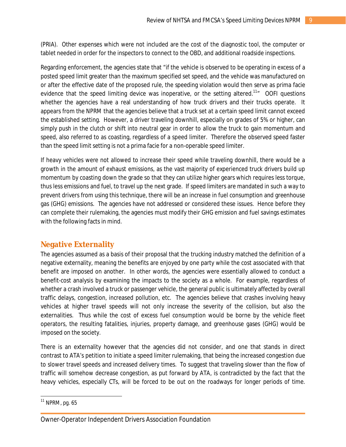(PRIA). Other expenses which were not included are the cost of the diagnostic tool, the computer or tablet needed in order for the inspectors to connect to the OBD, and additional roadside inspections.

Regarding enforcement, the agencies state that "if the vehicle is observed to be operating in excess of a posted speed limit greater than the maximum specified set speed, and the vehicle was manufactured on or after the effective date of the proposed rule, the speeding violation would then serve as prima facie evidence that the speed limiting device was inoperative, or the setting altered.<sup>11</sup><sup>"</sup> OOFI questions whether the agencies have a real understanding of how truck drivers and their trucks operate. It appears from the NPRM that the agencies believe that a truck set at a certain speed limit cannot exceed the established setting. However, a driver traveling downhill, especially on grades of 5% or higher, can simply push in the clutch or shift into neutral gear in order to allow the truck to gain momentum and speed, also referred to as coasting, regardless of a speed limiter. Therefore the observed speed faster than the speed limit setting is not a prima facie for a non-operable speed limiter.

If heavy vehicles were not allowed to increase their speed while traveling downhill, there would be a growth in the amount of exhaust emissions, as the vast majority of experienced truck drivers build up momentum by coasting down the grade so that they can utilize higher gears which requires less torque, thus less emissions and fuel, to travel up the next grade. If speed limiters are mandated in such a way to prevent drivers from using this technique, there will be an increase in fuel consumption and greenhouse gas (GHG) emissions. The agencies have not addressed or considered these issues. Hence before they can complete their rulemaking, the agencies must modify their GHG emission and fuel savings estimates with the following facts in mind.

# **Negative Externality**

The agencies assumed as a basis of their proposal that the trucking industry matched the definition of a negative externality, meaning the benefits are enjoyed by one party while the cost associated with that benefit are imposed on another. In other words, the agencies were essentially allowed to conduct a benefit-cost analysis by examining the impacts to the society as a whole. For example, regardless of whether a crash involved a truck or passenger vehicle, the general public is ultimately affected by overall traffic delays, congestion, increased pollution, etc. The agencies believe that crashes involving heavy vehicles at higher travel speeds will not only increase the severity of the collision, but also the externalities. Thus while the cost of excess fuel consumption would be borne by the vehicle fleet operators, the resulting fatalities, injuries, property damage, and greenhouse gases (GHG) would be imposed on the society.

There is an externality however that the agencies did not consider, and one that stands in direct contrast to ATA's petition to initiate a speed limiter rulemaking, that being the increased congestion due to slower travel speeds and increased delivery times. To suggest that traveling slower than the flow of traffic will somehow decrease congestion, as put forward by ATA, is contradicted by the fact that the heavy vehicles, especially CTs, will be forced to be out on the roadways for longer periods of time.

 $\overline{a}$  $11$  NPRM, pg. 65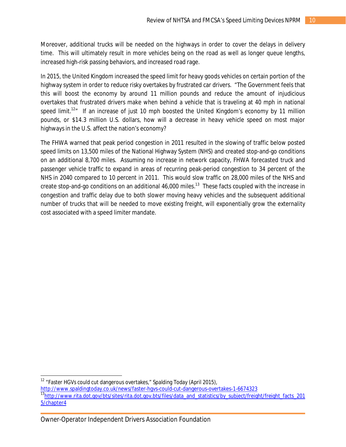Moreover, additional trucks will be needed on the highways in order to cover the delays in delivery time. This will ultimately result in more vehicles being on the road as well as longer queue lengths, increased high-risk passing behaviors, and increased road rage.

In 2015, the United Kingdom increased the speed limit for heavy goods vehicles on certain portion of the highway system in order to reduce risky overtakes by frustrated car drivers. "The Government feels that this will boost the economy by around 11 million pounds and reduce the amount of injudicious overtakes that frustrated drivers make when behind a vehicle that is traveling at 40 mph in national speed limit.<sup>12</sup><sup>"</sup> If an increase of just 10 mph boosted the United Kingdom's economy by 11 million pounds, or \$14.3 million U.S. dollars, how will a decrease in heavy vehicle speed on most major highways in the U.S. affect the nation's economy?

The FHWA warned that peak period congestion in 2011 resulted in the slowing of traffic below posted speed limits on 13,500 miles of the National Highway System (NHS) and created stop-and-go conditions on an additional 8,700 miles. Assuming no increase in network capacity, FHWA forecasted truck and passenger vehicle traffic to expand in areas of recurring peak-period congestion to 34 percent of the NHS in 2040 compared to 10 percent in 2011. This would slow traffic on 28,000 miles of the NHS and create stop-and-go conditions on an additional 46,000 miles.<sup>13</sup> These facts coupled with the increase in congestion and traffic delay due to both slower moving heavy vehicles and the subsequent additional number of trucks that will be needed to move existing freight, will exponentially grow the externality cost associated with a speed limiter mandate.

 $\overline{a}$  $12$  "Faster HGVs could cut dangerous overtakes," Spalding Today (April 2015),

<http://www.spaldingtoday.co.uk/news/faster-hgvs-could-cut-dangerous-overtakes-1-6674323> 13[http://www.rita.dot.gov/bts/sites/rita.dot.gov.bts/files/data\\_and\\_statistics/by\\_subject/freight/freight\\_facts\\_201](http://www.rita.dot.gov/bts/sites/rita.dot.gov.bts/files/data_and_statistics/by_subject/freight/freight_facts_201) 5/chapter4

Owner-Operator Independent Drivers Association Foundation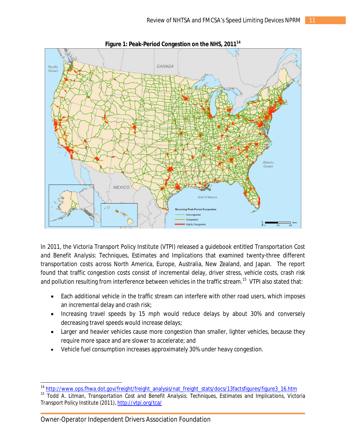

**Figure 1: Peak-Period Congestion on the NHS, 2011<sup>14</sup>**

In 2011, the Victoria Transport Policy Institute (VTPI) released a guidebook entitled *Transportation Cost and Benefit Analysis: Techniques, Estimates and Implications* that examined twenty-three different transportation costs across North America, Europe, Australia, New Zealand, and Japan. The report found that traffic congestion costs consist of incremental delay, driver stress, vehicle costs, crash risk and pollution resulting from interference between vehicles in the traffic stream. $^\mathrm{15}\,$  VTPI also stated that:

- Each additional vehicle in the traffic stream can interfere with other road users, which imposes an incremental delay and crash risk;
- Increasing travel speeds by 15 mph would reduce delays by about 30% and conversely decreasing travel speeds would increase delays;
- Larger and heavier vehicles cause more congestion than smaller, lighter vehicles, because they require more space and are slower to accelerate; and
- Vehicle fuel consumption increases approximately 30% under heavy congestion.

<sup>&</sup>lt;sup>14</sup> [http://www.ops.fhwa.dot.gov/freight/freight\\_analysis/nat\\_freight\\_stats/docs/13factsfigures/figure3\\_16.htm](http://www.ops.fhwa.dot.gov/freight/freight_analysis/nat_freight_stats/docs/13factsfigures/figure3_16.htm)

<sup>15</sup> Todd A. Litman, *Transportation Cost and Benefit Analysis: Techniques, Estimates and Implications*, Victoria Transport Policy Institute (2011), <http://vtpi.org/tca/>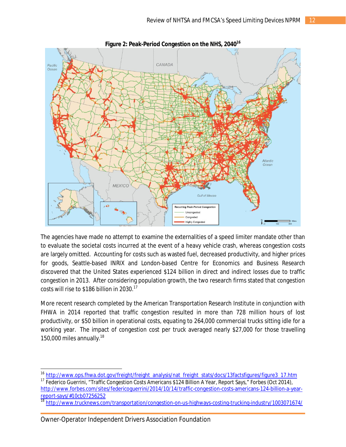

**Figure 2: Peak-Period Congestion on the NHS, 2040<sup>16</sup>**

The agencies have made no attempt to examine the externalities of a speed limiter mandate other than to evaluate the societal costs incurred at the event of a heavy vehicle crash, whereas congestion costs are largely omitted. Accounting for costs such as wasted fuel, decreased productivity, and higher prices for goods, Seattle-based INRIX and London-based Centre for Economics and Business Research discovered that the United States experienced \$124 billion in direct and indirect losses due to traffic congestion in 2013. After considering population growth, the two research firms stated that congestion costs will rise to \$186 billion in 2030.<sup>17</sup>

More recent research completed by the American Transportation Research Institute in conjunction with FHWA in 2014 reported that traffic congestion resulted in more than 728 million hours of lost productivity, or \$50 billion in operational costs, equating to 264,000 commercial trucks sitting idle for a working year. The impact of congestion cost per truck averaged nearly \$27,000 for those travelling 150,000 miles annually.<sup>18</sup>

<sup>&</sup>lt;sup>16</sup> [http://www.ops.fhwa.dot.gov/freight/freight\\_analysis/nat\\_freight\\_stats/docs/13factsfigures/figure3\\_17.htm](http://www.ops.fhwa.dot.gov/freight/freight_analysis/nat_freight_stats/docs/13factsfigures/figure3_17.htm)

<sup>&</sup>lt;sup>17</sup> Federico Guerrini, "Traffic Congestion Costs Americans \$124 Billion A Year, Report Says," Forbes (Oct 2014), [http://www.forbes.com/sites/federicoguerrini/2014/10/14/traffic-congestion-costs-americans-124-billion-a-year](http://www.forbes.com/sites/federicoguerrini/2014/10/14/traffic-congestion-costs-americans-124-billion-a-year-)report-says/#10cb07256252

<sup>18</sup> <http://www.trucknews.com/transportation/congestion-on-us-highways-costing-trucking-industry/1003071674/>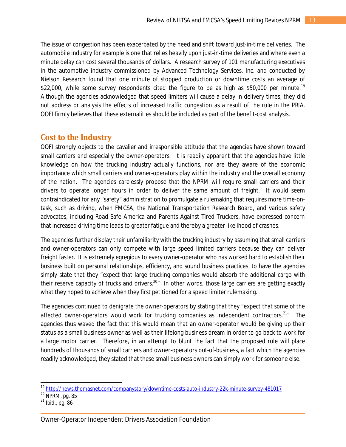The issue of congestion has been exacerbated by the need and shift toward just-in-time deliveries. The automobile industry for example is one that relies heavily upon just-in-time deliveries and where even a minute delay can cost several thousands of dollars. A research survey of 101 manufacturing executives in the automotive industry commissioned by Advanced Technology Services, Inc. and conducted by Nielson Research found that one minute of stopped production or downtime costs an average of \$22,000, while some survey respondents cited the figure to be as high as \$50,000 per minute.<sup>19</sup> Although the agencies acknowledged that speed limiters will cause a delay in delivery times, they did not address or analysis the effects of increased traffic congestion as a result of the rule in the PRIA. OOFI firmly believes that these externalities should be included as part of the benefit-cost analysis.

# **Cost to the Industry**

OOFI strongly objects to the cavalier and irresponsible attitude that the agencies have shown toward small carriers and especially the owner-operators. It is readily apparent that the agencies have little knowledge on how the trucking industry actually functions, nor are they aware of the economic importance which small carriers and owner-operators play within the industry and the overall economy of the nation. The agencies carelessly propose that the NPRM will require small carriers and their drivers to operate longer hours in order to deliver the same amount of freight. It would seem contraindicated for any "safety" administration to promulgate a rulemaking that requires more time-ontask, such as driving, when FMCSA, the National Transportation Research Board, and various safety advocates, including Road Safe America and Parents Against Tired Truckers, have expressed concern that increased driving time leads to greater fatigue and thereby a greater likelihood of crashes.

The agencies further display their unfamiliarity with the trucking industry by assuming that small carriers and owner-operators can only compete with large speed limited carriers because they can deliver freight faster. It is extremely egregious to every owner-operator who has worked hard to establish their business built on personal relationships, efficiency, and sound business practices, to have the agencies simply state that they "expect that large trucking companies would absorb the additional cargo with their reserve capacity of trucks and drivers.<sup>20</sup><sup>"</sup> In other words, those large carriers are getting exactly what they hoped to achieve when they first petitioned for a speed limiter rulemaking.

The agencies continued to denigrate the owner-operators by stating that they "expect that some of the affected owner-operators would work for trucking companies as independent contractors.<sup>21</sup><sup>"</sup> The agencies thus waved the fact that this would mean that an owner-operator would be giving up their status as a small business owner as well as their lifelong business dream in order to go back to work for a large motor carrier. Therefore, in an attempt to blunt the fact that the proposed rule will place hundreds of thousands of small carriers and owner-operators out-of-business, a fact which the agencies readily acknowledged, they stated that these small business owners can simply work for someone else.

<sup>&</sup>lt;sup>19</sup> <http://news.thomasnet.com/companystory/downtime-costs-auto-industry-22k-minute-survey-481017>

 $^{20}$  NPRM, pg. 85

 $^{21}$  Ibid., pg. 86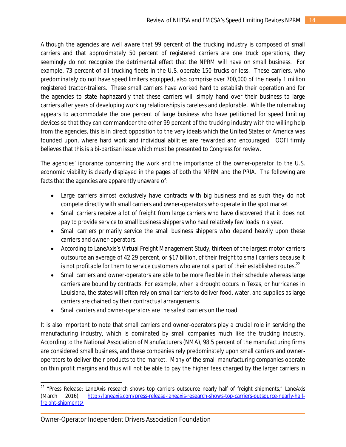Although the agencies are well aware that 99 percent of the trucking industry is composed of small carriers and that approximately 50 percent of registered carriers are one truck operations, they seemingly do not recognize the detrimental effect that the NPRM will have on small business. For example, 73 percent of all trucking fleets in the U.S. operate 150 trucks or less. These carriers, who predominately do not have speed limiters equipped, also comprise over 700,000 of the nearly 1 million registered tractor-trailers. These small carriers have worked hard to establish their operation and for the agencies to state haphazardly that these carriers will simply hand over their business to large carriers after years of developing working relationships is careless and deplorable. While the rulemaking appears to accommodate the one percent of large business who have petitioned for speed limiting devices so that they can commandeer the other 99 percent of the trucking industry with the willing help from the agencies, this is in direct opposition to the very ideals which the United States of America was founded upon, where hard work and individual abilities are rewarded and encouraged. OOFI firmly believes that this is a bi-partisan issue which must be presented to Congress for review.

The agencies' ignorance concerning the work and the importance of the owner-operator to the U.S. economic viability is clearly displayed in the pages of both the NPRM and the PRIA. The following are facts that the agencies are apparently unaware of:

- Large carriers almost exclusively have contracts with big business and as such they do not compete directly with small carriers and owner-operators who operate in the spot market.
- Small carriers receive a lot of freight from large carriers who have discovered that it does not pay to provide service to small business shippers who haul relatively few loads in a year.
- Small carriers primarily service the small business shippers who depend heavily upon these carriers and owner-operators.
- According to LaneAxis's Virtual Freight Management Study, thirteen of the largest motor carriers outsource an average of 42.29 percent, or \$17 billion, of their freight to small carriers because it is not profitable for them to service customers who are not a part of their established routes.<sup>22</sup>
- Small carriers and owner-operators are able to be more flexible in their schedule whereas large carriers are bound by contracts. For example, when a drought occurs in Texas, or hurricanes in Louisiana, the states will often rely on small carriers to deliver food, water, and supplies as large carriers are chained by their contractual arrangements.
- Small carriers and owner-operators are the safest carriers on the road.

It is also important to note that small carriers and owner-operators play a crucial role in servicing the manufacturing industry, which is dominated by small companies much like the trucking industry. According to the National Association of Manufacturers (NMA), 98.5 percent of the manufacturing firms are considered small business, and these companies rely predominately upon small carriers and owneroperators to deliver their products to the market. Many of the small manufacturing companies operate on thin profit margins and thus will not be able to pay the higher fees charged by the larger carriers in

<sup>&</sup>lt;sup>22</sup> "Press Release: LaneAxis research shows top carriers outsource nearly half of freight shipments," LaneAxis (March 2016), [http://laneaxis.com/press-release-laneaxis-research-shows-top-carriers-outsource-nearly-half](http://laneaxis.com/press-release-laneaxis-research-shows-top-carriers-outsource-nearly-half-)freight-shipments/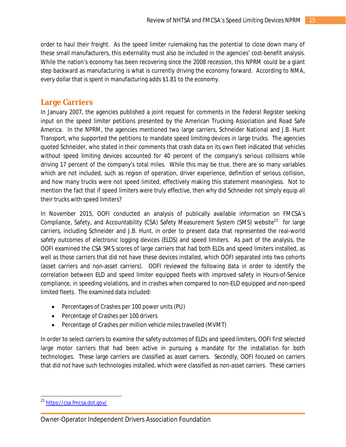order to haul their freight. As the speed limiter rulemaking has the potential to close down many of these small manufacturers, this externality must also be included in the agencies' cost-benefit analysis. While the nation's economy has been recovering since the 2008 recession, this NPRM could be a giant step backward as manufacturing is what is currently driving the economy forward. According to NMA, every dollar that is spent in manufacturing adds \$1.81 to the economy.

## **Large Carriers**

In January 2007, the agencies published a joint request for comments in the *Federal Register* seeking input on the speed limiter petitions presented by the American Trucking Association and Road Safe America. In the NPRM, the agencies mentioned two large carriers, Schneider National and J.B. Hunt Transport, who supported the petitions to mandate speed limiting devices in large trucks. The agencies quoted Schneider, who stated in their comments that crash data on its own fleet indicated that vehicles without speed limiting devices accounted for 40 percent of the company's serious collisions while driving 17 percent of the company's total miles. While this may be true, there are so many variables which are not included, such as region of operation, driver experience, definition of serious collision, and how many trucks were not speed limited, effectively making this statement meaningless. Not to mention the fact that if speed limiters were truly effective, then why did Schneider not simply equip all their trucks with speed limiters?

In November 2015, OOFI conducted an analysis of publically available information on FMCSA's Compliance, Safety, and Accountability (CSA) Safety Measurement System (SMS) website<sup>23</sup> for large carriers, including Schneider and J.B. Hunt, in order to present data that represented the real-world safety outcomes of electronic logging devices (ELDS) and speed limiters. As part of the analysis, the OOFI examined the CSA SMS scores of large carriers that had both ELDs and speed limiters installed, as well as those carriers that did not have these devices installed, which OOFI separated into two cohorts (asset carriers and non-asset carriers). OOFI reviewed the following data in order to identify the correlation between ELD and speed limiter equipped fleets with improved safety in Hours-of-Service compliance, in speeding violations, and in crashes when compared to non-ELD equipped and non-speed limited fleets. The examined data included:

- Percentages of Crashes per 100 power units (PU)
- Percentage of Crashes per 100 drivers
- Percentage of Crashes per million vehicle miles travelled (MVMT)

In order to select carriers to examine the safety outcomes of ELDs and speed limiters, OOFI first selected large motor carriers that had been active in pursuing a mandate for the installation for both technologies. These large carriers are classified as asset carriers. Secondly, OOFI focused on carriers that did not have such technologies installed, which were classified as non-asset carriers. These carriers

 $\overline{a}$ <sup>23</sup> <https://csa.fmcsa.dot.gov/>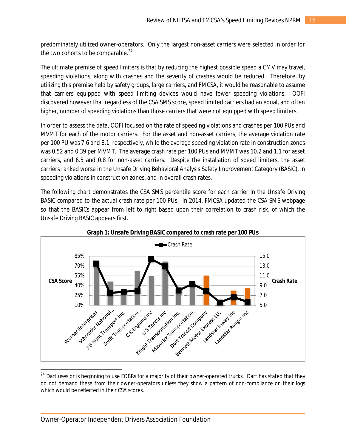predominately utilized owner-operators. Only the largest non-asset carriers were selected in order for the two cohorts to be comparable. $24$ 

The ultimate premise of speed limiters is that by reducing the highest possible speed a CMV may travel, speeding violations, along with crashes and the severity of crashes would be reduced. Therefore, by utilizing this premise held by safety groups, large carriers, and FMCSA, it would be reasonable to assume that carriers equipped with speed limiting devices would have fewer speeding violations. OOFI discovered however that regardless of the CSA SMS score, speed limited carriers had an equal, and often higher, number of speeding violations than those carriers that were not equipped with speed limiters.

In order to assess the data, OOFI focused on the rate of speeding violations and crashes per 100 PUs and MVMT for each of the motor carriers. For the asset and non-asset carriers, the average violation rate per 100 PU was 7.6 and 8.1, respectively, while the average speeding violation rate in construction zones was 0.52 and 0.39 per MVMT. The average crash rate per 100 PUs and MVMT was 10.2 and 1.1 for asset carriers, and 6.5 and 0.8 for non-asset carriers. Despite the installation of speed limiters, the asset carriers ranked worse in the Unsafe Driving Behavioral Analysis Safety Improvement Category (BASIC), in speeding violations in construction zones, and in overall crash rates.

The following chart demonstrates the CSA SMS percentile score for each carrier in the Unsafe Driving BASIC compared to the actual crash rate per 100 PUs. In 2014, FMCSA updated the CSA SMS webpage so that the BASICs appear from left to right based upon their correlation to crash risk, of which the Unsafe Driving BASIC appears first.





 $^{24}$  Dart uses or is beginning to use EOBRs for a majority of their owner-operated trucks. Dart has stated that they do not demand these from their owner-operators unless they show a pattern of non-compliance on their logs which would be reflected in their CSA scores.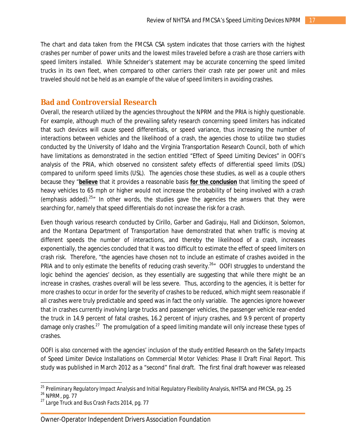The chart and data taken from the FMCSA CSA system indicates that those carriers with the highest crashes per number of power units and the lowest miles traveled before a crash are those carriers with speed limiters installed. While Schneider's statement may be accurate concerning the speed limited trucks in its own fleet, when compared to other carriers their crash rate per power unit and miles traveled should not be held as an example of the value of speed limiters in avoiding crashes.

### **Bad and Controversial Research**

Overall, the research utilized by the agencies throughout the NPRM and the PRIA is highly questionable. For example, although much of the prevailing safety research concerning speed limiters has indicated that such devices will cause speed differentials, or speed variance, thus increasing the number of interactions between vehicles and the likelihood of a crash, the agencies chose to utilize two studies conducted by the University of Idaho and the Virginia Transportation Research Council, both of which have limitations as demonstrated in the section entitled "Effect of Speed Limiting Devices" in OOFI's analysis of the PRIA, which observed no consistent safety effects of differential speed limits (DSL) compared to uniform speed limits (USL). The agencies chose these studies, as well as a couple others because they "*believe* that it provides a reasonable basis *for the conclusion* that limiting the speed of heavy vehicles to 65 mph or higher would not increase the probability of being involved with a crash (emphasis added).<sup>25</sup><sup>"</sup> In other words, the studies gave the agencies the answers that they were searching for, namely that speed differentials do not increase the risk for a crash.

Even though various research conducted by Cirillo, Garber and Gadiraju, Hall and Dickinson, Solomon, and the Montana Department of Transportation have demonstrated that when traffic is moving at different speeds the number of interactions, and thereby the likelihood of a crash, increases exponentially, the agencies concluded that it was too difficult to estimate the effect of speed limiters on crash risk. Therefore, "the agencies have chosen not to include an estimate of crashes avoided in the PRIA and to only estimate the benefits of reducing crash severity.<sup>26</sup><sup>n</sup> OOFI struggles to understand the logic behind the agencies' decision, as they essentially are suggesting that while there might be an increase in crashes, crashes overall will be less severe. Thus, according to the agencies, it is better for more crashes to occur in order for the severity of crashes to be reduced, which might seem reasonable if all crashes were truly predictable and speed was in fact the only variable. The agencies ignore however that in crashes currently involving large trucks and passenger vehicles, the passenger vehicle rear-ended the truck in 14.9 percent of fatal crashes, 16.2 percent of injury crashes, and 9.9 percent of property damage only crashes.<sup>27</sup> The promulgation of a speed limiting mandate will only increase these types of crashes.

OOFI is also concerned with the agencies' inclusion of the study entitled *Research on the Safety Impacts of Speed Limiter Device Installations on Commercial Motor Vehicles: Phase II Draft Final Report*. This study was published in March 2012 as a "second" final draft. The first final draft however was released

<sup>25</sup> *Preliminary Regulatory Impact Analysis and Initial Regulatory Flexibility Analysis*, NHTSA and FMCSA, pg. 25

<sup>26</sup> NPRM, pg. 77

<sup>27</sup> *Large Truck and Bus Crash Facts 2014*, pg. 77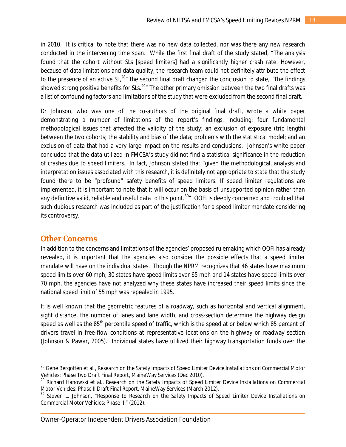in 2010. It is critical to note that there was no new data collected, nor was there any new research conducted in the intervening time span. While the first final draft of the study stated, "The analysis found that the cohort without SLs [speed limiters] had a significantly higher crash rate. However, because of data limitations and data quality, the research team could not definitely attribute the effect to the presence of an active SL,<sup>28</sup>" the second final draft changed the conclusion to state, "The findings" showed strong positive benefits for SLs.<sup>29</sup>" The other primary omission between the two final drafts was a list of confounding factors and limitations of the study that were excluded from the second final draft.

Dr Johnson, who was one of the co-authors of the original final draft, wrote a white paper demonstrating a number of limitations of the report's findings, including: four fundamental methodological issues that affected the validity of the study; an exclusion of exposure (trip length) between the two cohorts; the stability and bias of the data; problems with the statistical model; and an exclusion of data that had a very large impact on the results and conclusions. Johnson's white paper concluded that the data utilized in FMCSA's study did not find a statistical significance in the reduction of crashes due to speed limiters. In fact, Johnson stated that "given the methodological, analysis and interpretation issues associated with this research, it is definitely not appropriate to state that the study found there to be "profound" safety benefits of speed limiters. If speed limiter regulations are implemented, it is important to note that it will occur on the basis of unsupported opinion rather than any definitive valid, reliable and useful data to this point.<sup>30</sup> $\degree$  OOFI is deeply concerned and troubled that such dubious research was included as part of the justification for a speed limiter mandate considering its controversy.

### **Other Concerns**

 $\overline{\phantom{a}}$ 

In addition to the concerns and limitations of the agencies' proposed rulemaking which OOFI has already revealed, it is important that the agencies also consider the possible effects that a speed limiter mandate will have on the individual states. Though the NPRM recognizes that 46 states have maximum speed limits over 60 mph, 30 states have speed limits over 65 mph and 14 states have speed limits over 70 mph, the agencies have not analyzed why these states have increased their speed limits since the national speed limit of 55 mph was repealed in 1995.

It is well known that the geometric features of a roadway, such as horizontal and vertical alignment, sight distance, the number of lanes and lane width, and cross-section determine the highway design speed as well as the 85<sup>th</sup> percentile speed of traffic, which is the speed at or below which 85 percent of drivers travel in free-flow conditions at representative locations on the highway or roadway section (Johnson & Pawar, 2005). Individual states have utilized their highway transportation funds over the

Owner-Operator Independent Drivers Association Foundation

<sup>&</sup>lt;sup>28</sup> Gene Bergoffen et al., *Research on the Safety Impacts of Speed Limiter Device Installations on Commercial Motor Vehicles: Phase Two Draft Final Report*, MaineWay Services (Dec 2010).

<sup>29</sup> Richard Hanowski et al., *Research on the Safety Impacts of Speed Limiter Device Installations on Commercial Motor Vehicles: Phase II Draft Final Report*, MaineWay Services (March 2012).

<sup>30</sup> Steven L. Johnson, "Response to *Research on the Safety Impacts of Speed Limiter Device Installations on Commercial Motor Vehicles: Phase II*," (2012).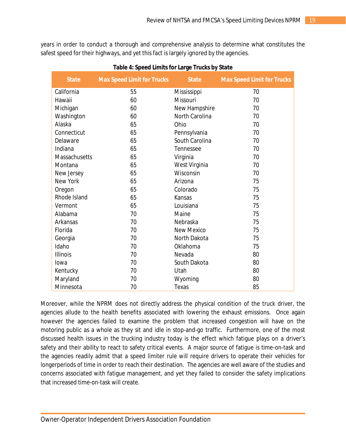years in order to conduct a thorough and comprehensive analysis to determine what constitutes the safest speed for their highways, and yet this fact is largely ignored by the agencies.

| <b>State</b>         | <b>Max Speed Limit for Trucks</b> | <b>State</b>          | <b>Max Speed Limit for Trucks</b> |
|----------------------|-----------------------------------|-----------------------|-----------------------------------|
| California           | 55                                | Mississippi           | 70                                |
| Hawaii               | 60                                | Missouri              | 70                                |
| Michigan             | 60                                | New Hampshire         | 70                                |
| Washington           | 60                                | <b>North Carolina</b> | 70                                |
| Alaska               | 65                                | Ohio                  | 70                                |
| Connecticut          | 65                                | Pennsylvania          | 70                                |
| Delaware             | 65                                | South Carolina        | 70                                |
| Indiana              | 65                                | Tennessee             | 70                                |
| <b>Massachusetts</b> | 65                                | Virginia              | 70                                |
| Montana              | 65                                | West Virginia         | 70                                |
| New Jersey           | 65                                | Wisconsin             | 70                                |
| <b>New York</b>      | 65                                | Arizona               | 75                                |
| Oregon               | 65                                | Colorado              | 75                                |
| Rhode Island         | 65                                | Kansas                | 75                                |
| Vermont              | 65                                | Louisiana             | 75                                |
| Alabama              | 70                                | Maine                 | 75                                |
| Arkansas             | 70                                | Nebraska              | 75                                |
| Florida              | 70                                | <b>New Mexico</b>     | 75                                |
| Georgia              | 70                                | North Dakota          | 75                                |
| Idaho                | 70                                | Oklahoma              | 75                                |
| <b>Illinois</b>      | 70                                | Nevada                | 80                                |
| Iowa                 | 70                                | South Dakota          | 80                                |
| Kentucky             | 70                                | Utah                  | 80                                |
| Maryland             | 70                                | Wyoming               | 80                                |
| Minnesota            | 70                                | Texas                 | 85                                |

Moreover, while the NPRM does not directly address the physical condition of the truck driver, the agencies allude to the health benefits associated with lowering the exhaust emissions. Once again however the agencies failed to examine the problem that increased congestion will have on the motoring public as a whole as they sit and idle in stop-and-go traffic. Furthermore, one of the most discussed health issues in the trucking industry today is the effect which fatigue plays on a driver's safety and their ability to react to safety critical events. A major source of fatigue is time-on-task and the agencies readily admit that a speed limiter rule will require drivers to operate their vehicles for longerperiods of time in order to reach their destination. The agencies are well aware of the studies and concerns associated with fatigue management, and yet they failed to consider the safety implications that increased time-on-task will create.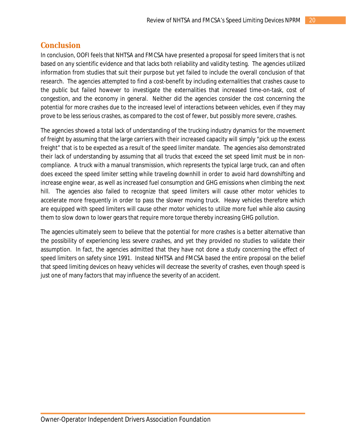# **Conclusion**

In conclusion, OOFI feels that NHTSA and FMCSA have presented a proposal for speed limiters that is not based on any scientific evidence and that lacks both reliability and validity testing. The agencies utilized information from studies that suit their purpose but yet failed to include the overall conclusion of that research. The agencies attempted to find a cost-benefit by including externalities that crashes cause to the public but failed however to investigate the externalities that increased time-on-task, cost of congestion, and the economy in general. Neither did the agencies consider the cost concerning the potential for more crashes due to the increased level of interactions between vehicles, even if they may prove to be less serious crashes, as compared to the cost of fewer, but possibly more severe, crashes.

The agencies showed a total lack of understanding of the trucking industry dynamics for the movement of freight by assuming that the large carriers with their increased capacity will simply "pick up the excess freight" that is to be expected as a result of the speed limiter mandate. The agencies also demonstrated their lack of understanding by assuming that all trucks that exceed the set speed limit must be in noncompliance. A truck with a manual transmission, which represents the typical large truck, can and often does exceed the speed limiter setting while traveling downhill in order to avoid hard downshifting and increase engine wear, as well as increased fuel consumption and GHG emissions when climbing the next hill. The agencies also failed to recognize that speed limiters will cause other motor vehicles to accelerate more frequently in order to pass the slower moving truck. Heavy vehicles therefore which are equipped with speed limiters will cause other motor vehicles to utilize more fuel while also causing them to slow down to lower gears that require more torque thereby increasing GHG pollution.

The agencies ultimately seem to believe that the potential for more crashes is a better alternative than the possibility of experiencing less severe crashes, and yet they provided no studies to validate their assumption. In fact, the agencies admitted that they have not done a study concerning the effect of speed limiters on safety since 1991. Instead NHTSA and FMCSA based the entire proposal on the belief that speed limiting devices on heavy vehicles will decrease the severity of crashes, even though speed is just one of many factors that may influence the severity of an accident.